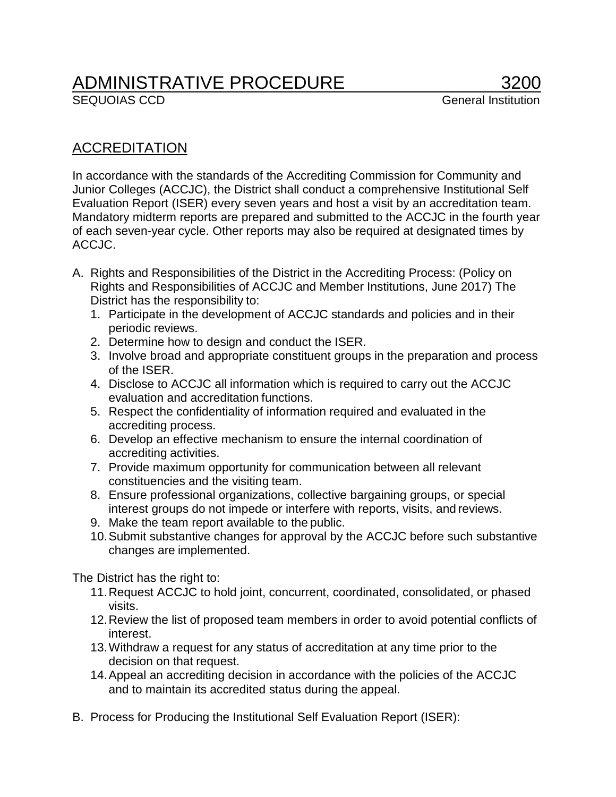## ADMINISTRATIVE PROCEDURE 3200

## ACCREDITATION

In accordance with the standards of the Accrediting Commission for Community and Junior Colleges (ACCJC), the District shall conduct a comprehensive Institutional Self Evaluation Report (ISER) every seven years and host a visit by an accreditation team. Mandatory midterm reports are prepared and submitted to the ACCJC in the fourth year of each seven-year cycle. Other reports may also be required at designated times by ACCJC.

- A. Rights and Responsibilities of the District in the Accrediting Process: (Policy on Rights and Responsibilities of ACCJC and Member Institutions, June 2017) The District has the responsibility to:
	- 1. Participate in the development of ACCJC standards and policies and in their periodic reviews.
	- 2. Determine how to design and conduct the ISER.
	- 3. Involve broad and appropriate constituent groups in the preparation and process of the ISER.
	- 4. Disclose to ACCJC all information which is required to carry out the ACCJC evaluation and accreditation functions.
	- 5. Respect the confidentiality of information required and evaluated in the accrediting process.
	- 6. Develop an effective mechanism to ensure the internal coordination of accrediting activities.
	- 7. Provide maximum opportunity for communication between all relevant constituencies and the visiting team.
	- 8. Ensure professional organizations, collective bargaining groups, or special interest groups do not impede or interfere with reports, visits, and reviews.
	- 9. Make the team report available to the public.
	- 10.Submit substantive changes for approval by the ACCJC before such substantive changes are implemented.

The District has the right to:

- 11.Request ACCJC to hold joint, concurrent, coordinated, consolidated, or phased visits.
- 12.Review the list of proposed team members in order to avoid potential conflicts of interest.
- 13.Withdraw a request for any status of accreditation at any time prior to the decision on that request.
- 14.Appeal an accrediting decision in accordance with the policies of the ACCJC and to maintain its accredited status during the appeal.
- B. Process for Producing the Institutional Self Evaluation Report (ISER):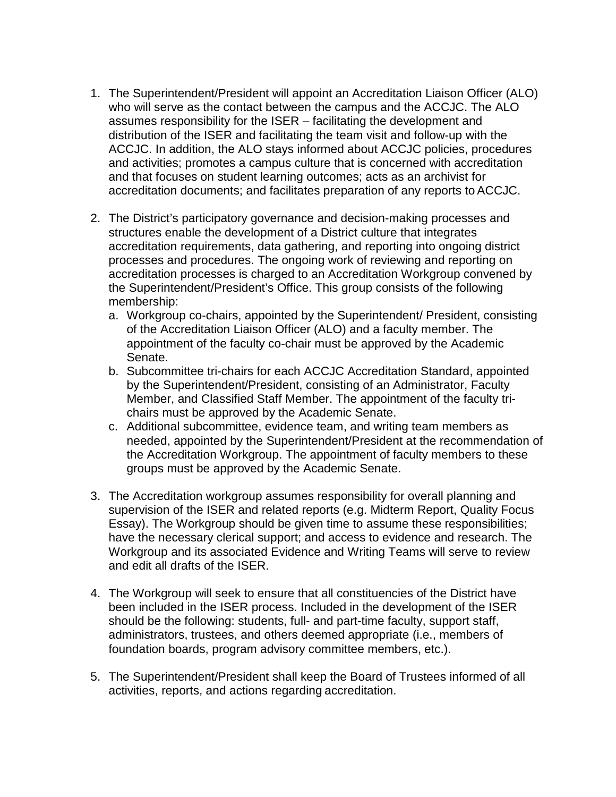- 1. The Superintendent/President will appoint an Accreditation Liaison Officer (ALO) who will serve as the contact between the campus and the ACCJC. The ALO assumes responsibility for the ISER – facilitating the development and distribution of the ISER and facilitating the team visit and follow-up with the ACCJC. In addition, the ALO stays informed about ACCJC policies, procedures and activities; promotes a campus culture that is concerned with accreditation and that focuses on student learning outcomes; acts as an archivist for accreditation documents; and facilitates preparation of any reports to ACCJC.
- 2. The District's participatory governance and decision-making processes and structures enable the development of a District culture that integrates accreditation requirements, data gathering, and reporting into ongoing district processes and procedures. The ongoing work of reviewing and reporting on accreditation processes is charged to an Accreditation Workgroup convened by the Superintendent/President's Office. This group consists of the following membership:
	- a. Workgroup co-chairs, appointed by the Superintendent/ President, consisting of the Accreditation Liaison Officer (ALO) and a faculty member. The appointment of the faculty co-chair must be approved by the Academic Senate.
	- b. Subcommittee tri-chairs for each ACCJC Accreditation Standard, appointed by the Superintendent/President, consisting of an Administrator, Faculty Member, and Classified Staff Member. The appointment of the faculty trichairs must be approved by the Academic Senate.
	- c. Additional subcommittee, evidence team, and writing team members as needed, appointed by the Superintendent/President at the recommendation of the Accreditation Workgroup. The appointment of faculty members to these groups must be approved by the Academic Senate.
- 3. The Accreditation workgroup assumes responsibility for overall planning and supervision of the ISER and related reports (e.g. Midterm Report, Quality Focus Essay). The Workgroup should be given time to assume these responsibilities; have the necessary clerical support; and access to evidence and research. The Workgroup and its associated Evidence and Writing Teams will serve to review and edit all drafts of the ISER.
- 4. The Workgroup will seek to ensure that all constituencies of the District have been included in the ISER process. Included in the development of the ISER should be the following: students, full- and part-time faculty, support staff, administrators, trustees, and others deemed appropriate (i.e., members of foundation boards, program advisory committee members, etc.).
- 5. The Superintendent/President shall keep the Board of Trustees informed of all activities, reports, and actions regarding accreditation.